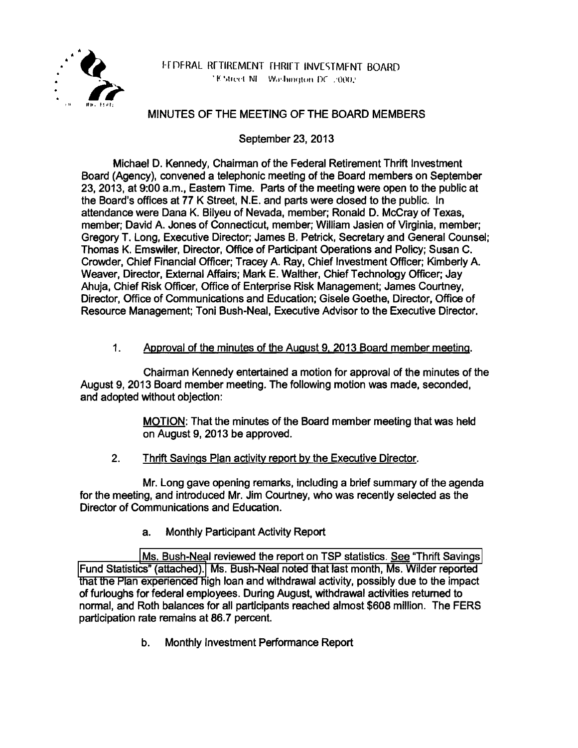

H DERAL RETIREMENT THRIET INVESTMENT BOARD 18 Street NI - Washington DC .: 0002

### MINUTES OF THE MEETING OF THE BOARD MEMBERS

September 23, 2013

Michael D. Kennedy, Chairman of the Federal Retirement Thrift Investment Board (Agency), convened a telephonic meeting of the Board members on September 23, 2013, at 9:00 a.m., Eastern Time. Parts of the meeting were open to the public at the Board's offices at 77 K Street, N.E. and parts were closed to the public. In attendance were Dana K. Bilyeu of Nevada, member; Ronald D. McCray of Texas, member; David A. Jones of Connecticut, member; William Jasien of Virginia, member; Gregory T. Long, Executive Director; James B. Petrick, Secretary and General Counsel; Thomas K. Emswiler, Director, Office of Participant Operations and Policy; Susan C. Crowder, Chief Financial Officer; Tracey A. Ray, Chief Investment Officer; Kimberly A. Weaver, Director, External Affairs; Mark E. Walther, Chief Technology Officer; Jay Ahuja, Chief Risk Officer, Office of Enterprise Risk Management; James Courtney, Director, Office of Communications and Education; Gisele Goethe, Director, Office of Resource Management; Toni Bush-Neal, Executive Advisor to the Executive Director.

### 1. Approval of the minutes of the August 9. 2013 Board member meeting.

Chairman Kennedy entertained a motion for approval of the minutes of the August 9, 2013 Board member meeting. The following motion was made, seconded, and adopted without objection:

> MOTION: That the minutes of the Board member meeting that was held on August 9, 2013 be approved.

2. Thrift Savings Plan activity report by the Executive Director.

Mr. Long gave opening remarks, including a brief summary of the agenda for the meeting, and introduced Mr. Jim Courtney, who was recently selected as the Director of Communications and Education.

a. Monthly Participant Activity Report

Ms. Bush-Neal reviewed the report on TSP statistics. See "Thrift Savings [Fund Statistics" \(attached\).](http://www.frtib.gov/pdf/minutes/MM-2013Sep-Att1.pdf) Ms. Bush-Neal noted that last month, Ms. Wilder reported that the Plan experienced high loan and withdrawal activity, possibly due to the impact of furloughs for federal employees. During August, withdrawal activities returned to normal, and Roth balances for all participants reached almost \$608 million. The FERS participation rate remains at 86. 7 percent.

b. Monthly Investment Performance Report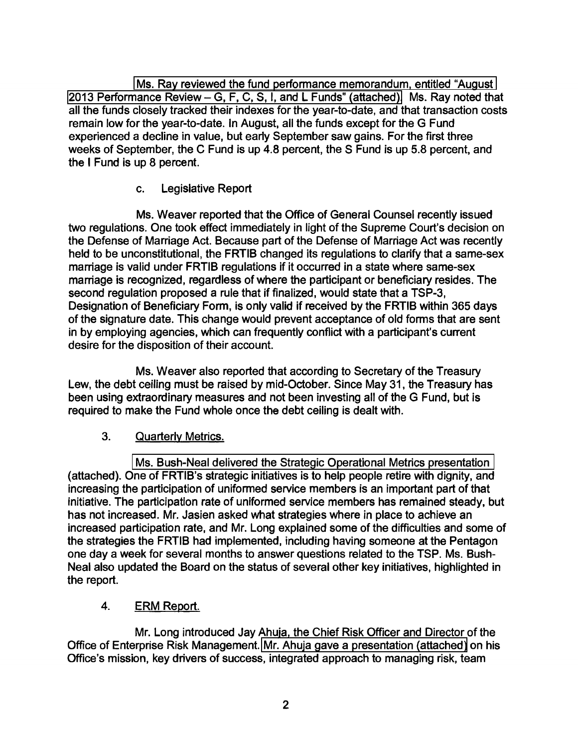[Ms. Ray reviewed the fund performance memorandum, entitled "August](http://www.frtib.gov/pdf/minutes/MM-2013Sep-Att2.pdf)  [2013 Performance Review-G, F, C, S, I, and L Funds" \(attached\).](http://www.frtib.gov/pdf/minutes/MM-2013Sep-Att2.pdf) Ms. Ray noted that all the funds closely tracked their indexes for the year-to-date, and that transaction costs remain low for the year-to-date. In August, all the funds except for the G Fund experienced a decline in value, but early September saw gains. For the first three weeks of September, the C Fund is up 4.8 percent, the S Fund is up 5.8 percent, and the I Fund is up 8 percent.

# c. Legislative Report

Ms. Weaver reported that the Office of General Counsel recently issued two regulations. One took effect immediately in light of the Supreme Court's decision on the Defense of Marriage Act. Because part of the Defense of Marriage Act was recently held to be unconstitutional, the FRTIB changed its regulations to clarify that a same-sex marriage is valid under FRTIB regulations if it occurred in a state where same-sex marriage is recognized, regardless of where the participant or beneficiary resides. The second regulation proposed a rule that if finalized, would state that a TSP-3, Designation of Beneficiary Form, is only valid if received by the FRTIB within 365 days of the signature date. This change would prevent acceptance of old forms that are sent in by employing agencies, which can frequently conflict with a participant's current desire for the disposition of their account.

Ms. Weaver also reported that according to Secretary of the Treasury Lew, the debt ceiling must be raised by mid-October. Since May 31, the Treasury has been using extraordinary measures and not been investing all of the G Fund, but is required to make the Fund whole once the debt ceiling is dealt with.

## 3. Quarterly Metrics.

[Ms. Bush-Neal delivered the Strategic Operational Metrics presentation](http://www.frtib.gov/pdf/minutes/MM-2013Sep-Att3.pdf)  (attached). One of FRTIB's strategic initiatives is to help people retire with dignity, and increasing the participation of uniformed service members is an important part of that initiative. The participation rate of uniformed service members has remained steady, but has not increased. Mr. Jasien asked what strategies where in place to achieve an increased participation rate, and Mr. Long explained some of the difficulties and some of the strategies the FRTIB had implemented, including having someone at the Pentagon one day a week for several months to answer questions related to the TSP. Ms. Bush-Neal also updated the Board on the status of several other key initiatives, highlighted in the report.

## 4. ERM Report.

Mr. Long introduced Jay Ahuja, the Chief Risk Officer and Director of the Office of Enterprise Risk Management. [Mr. Ahuja gave a presentation \(attached\)](http://www.frtib.gov/pdf/minutes/MM-2013Sep-Att4.pdf) on his Office's mission, key drivers of success, integrated approach to managing risk, team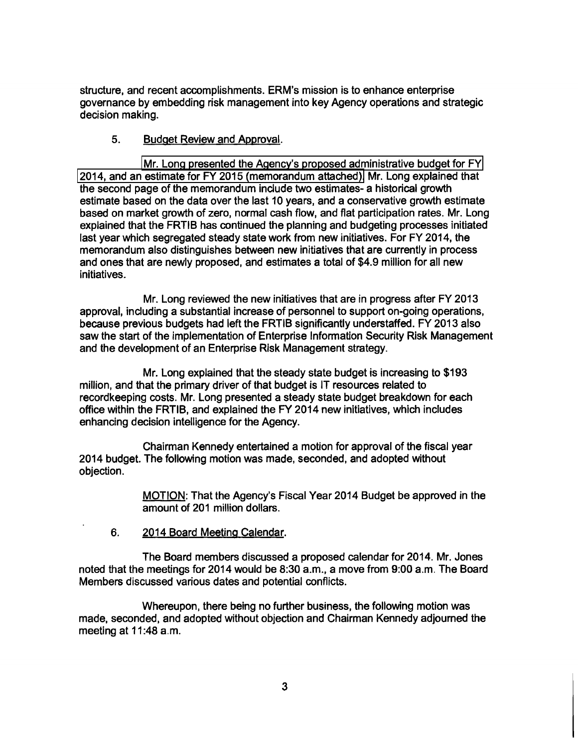structure, and recent accomplishments. ERM's mission is to enhance enterprise governance by embedding risk management into key Agency operations and strategic decision making.

#### 5. Budget Review and Approval.

[Mr. Long presented the Agency's proposed administrative budget for FY](http://www.frtib.gov/pdf/minutes/MM-2013Sep-Att5.pdf)  [2014, and an estimate for FY 2015 \(memorandum attached\).](http://www.frtib.gov/pdf/minutes/MM-2013Sep-Att6.pdf) Mr. Long explained that the second page of the memorandum include two estimates- a historical growth estimate based on the data over the last 10 years, and a conservative growth estimate based on market growth of zero, normal cash flow, and flat participation rates. Mr. Long explained that the FRTIB has continued the planning and budgeting processes initiated last year which segregated steady state work from new initiatives. For FY 2014, the memorandum also distinguishes between new initiatives that are currently in process and ones that are newly proposed, and estimates a total of \$4.9 million for all new initiatives.

Mr. Long reviewed the new initiatives that are in progress after FY 2013 approval, including a substantial increase of personnel to support on-going operations, because previous budgets had left the FRTIB significantly understaffed. FY 2013 also saw the start of the implementation of Enterprise Information Security Risk Management and the development of an Enterprise Risk Management strategy.

Mr. Long explained that the steady state budget is increasing to \$193 million, and that the primary driver of that budget is IT resources related to recordkeeping costs. Mr. Long presented a steady state budget breakdown for each office within the FRTIB, and explained the FY 2014 new initiatives, which includes enhancing decision intelligence for the Agency.

Chairman Kennedy entertained a motion for approval of the fiscal year 2014 budget. The following motion was made, seconded, and adopted without objection.

> MOTION: That the Agency's Fiscal Year 2014 Budget be approved in the amount of 201 million dollars.

6. 2014 Board Meeting Calendar.

The Board members discussed a proposed calendar for 2014. Mr. Jones noted that the meetings for 2014 would be 8:30 a.m., a move from 9:00 a.m. The Board Members discussed various dates and potential conflicts.

Whereupon, there being no further business, the following motion was made, seconded, and adopted without objection and Chairman Kennedy adjourned the meeting at 11:48 a.m.